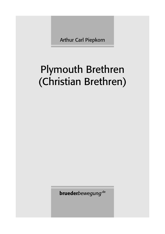Arthur Carl Piepkorn

## Plymouth Brethren (Christian Brethren)

**brueder***bewegung*.de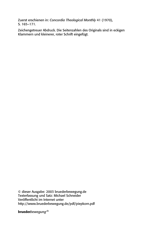Zuerst erschienen in: *Concordia Theological Monthly* 41 (1970), S. 165–171.

Zeichengetreuer Abdruck. Die Seitenzahlen des Originals sind in eckigen Klammern und kleinerer, roter Schrift eingefügt.

© dieser Ausgabe: 2003 bruederbewegung.de Texterfassung und Satz: Michael Schneider Veröffentlicht im Internet unter http://www.bruederbewegung.de/pdf/piepkorn.pdf

**brueder***bewegung*.de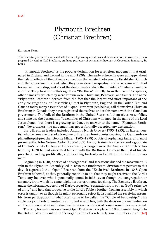## Plymouth Brethren (Christian Brethren)

## EDITORIAL NOTE:

This brief study is one of a series of articles on religious organizations and denominations in America. It was prepared by Arthur Carl Piepkorn, graduate professor of systematic theology at Concordia Seminary, St. Louis.

"Plymouth Brethren" is the popular designation for a religious movement that originated in England and Ireland in the mid-1820s. The early adherents were unhappy about the baleful effects of the intimate connection that existed between the Established Church and the government, about what they considered unspiritual ecclesiasticism and dead formalism in worship, and about the denominationalism that divided Christians from one another. They took the self-designation "Brethren" directly from the Sacred Scriptures; other names by which they were known were Christians, Believers, and Saints. The name "Plymouth Brethren" derives from the fact that the largest and most important of the early congregations, or "assemblies," met in Plymouth, England. In the British Isles and Canada today many assemblies of "Open" Brethren (see below) call themselves Christian Brethren; in Canada they have registered themselves under this name with the Canadian government. The bulk of the Brethren in the United States call themselves Assemblies, and some use the designation "assemblies of Christians who meet in the name of the Lord Jesus alone," but there is a growing tendency to answer to the name "Plymouth Brethren." Nevertheless, the movement has never formally accepted any designation.

Early Brethren leaders included Anthony Norris Groves (1795–1853), an Exeter dentist who became the first of a long line of Brethren foreign missionaries, the German-born philanthropist-preacher George Müller (1805–1898) of Bristol orphanage fame, and, most prominently, John Nelson Darby (1800–1882). Darby, trained for the law and a graduate of Dublin's Trinity College at 19, was briefly a clergyman of the Anglican Church of Ireland. By 1828 he had associated himself with the Brethren. He spent the rest of his life preaching, writing prolifically, and traveling tirelessly in behalf of the Brethren movement.

Beginning in 1848, a series of "divergences" and secessions divided the movement. A split in the Plymouth Assembly led in 1848 to a fundamental division that persists to this day. It separated the "Open" Brethren from the "Exclusive" Brethren. In 1848 Open Brethren believed, as they generally continue to do, that they might receive to the Lord's Table any believer who is personally sound in faith, even though the congregation or assembly from which he came might harbor erroneous teaching. The Exclusive Brethren, under the informal leadership of Darby, regarded "separation from evil as God's principle of unity" and held that to receive to the Lord's Table a brother from an assembly in which error is taught, even though he might personally reject it, disqualified the receiving assembly from participation in what often came to be called the "Circle of Fellowship." This circle is a joint body of mutually approved assemblies, with the decision of one binding on all; the influence of an individual leader in such a body is of course sometimes very great.

The only formal division among Open Brethren took place in 1889. Limited largely to the British Isles, it resulted in the organization of a relatively small number (fewer [166]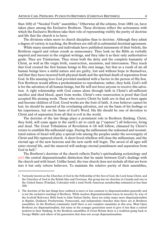than 100) of "Needed Truth" assemblies.<sup>1</sup> Otherwise all the schisms, from 1881 on, have taken place among the Exclusive Brethren. These divisions reflect the seriousness with which the Exclusive Brethren take their role of representing visibly the purity of doctrine and life that the church is to have.

The divisions relate more to church discipline than to doctrine. Although they admit a degree of variety in teaching, the Brethren are still all in substantial doctrinal agreement.

While many assemblies and individuals have published statements of their beliefs, the Brethren regard and refuse creeds as unnecessary. They look on the Bible as verbally inspired and inerrant in the original writings, and they take it as their only authoritative guide. They are Trinitarians. They stress both the deity and the complete humanity of Christ, as well as His virgin birth, resurrection, ascension, and intercession. They teach that God created the first human beings in His own image, but that as a result of sin all human beings have a sinful nature and are guilty, lost and without hope in themselves, and that they have incurred both physical death and the spiritual death of separation from God. In His amazing love God provided mankind with a Savior in the person of His Son. Few Brethren would affirm a predestination to reprobation; rather, they hold, God's will is for the salvation of all human beings, but He will not force anyone to receive this salvation. A right relationship with God comes alone through faith in Christ's all-sufficient sacrifice and shed blood, apart from works. Christ's own resurrection is proof that God accepted His atoning work. Those who receive Christ by faith are in that act born again and become children of God. Good works are the fruit of faith. A true believer cannot be lost, he should be assured of his everlasting salvation, not on the basis of his feelings or his experience, but on the basis of God's Word. His life should be one of devotion to Christ and of separation from all that is evil in the world.

The doctrine of the last things plays a prominent role in Brethren thinking. Christ, they hold, will come again to the earth's air to catch up ("rapture") all believers, living and dead. The Great Tribulation of Revelation 6–18 will follow, climaxed by Christ's return to establish His millennial reign. During the millennium the redeemed and reconstituted nation of Israel will play a special role among the peoples under the sovereignty of Christ and His raptured church. A short-lived rebellion will close the millennium, and the eternal age of the new heavens and the new earth will begin. The saved of all ages will enter eternal life, and the unsaved will undergo eternal punishment and separation from God in hell. $2$ 

The Brethren's doctrine of the church reflects Darby's spiritualizing ecclesiology and [167] the central dispensationalist distinction that he made between God's dealings with the church and with Israel. Unlike Israel, the true church does not include all that are born into it but only reborn believers. To maintain the relative purity of their assemblies,

<sup>1</sup> Variously known as the Churches of God in the Fellowship of the Son of God, the Lord Jesus Christ, and the Churches of God in the British Isles and Overseas, this group has six churches in Canada and one in the United States (Trinidad, Colorado) with a total North American membership estimated at less than 300.

<sup>2</sup> The doctrine of the last things here outlined is more or less common to dispensationalists generally and is not the exclusive teaching of Brethren. While modern dispensationalism traces its ancestry by way of the *Scofield Reference Bible* back to John Nelson Darby, there are today many more dispensationalists in Baptist, Dunkard, Presbyterian, Pentecostal, and independent churches than there are in Brethren assemblies. In the Brethren community itself there is not complete unanimity in this area. Most Open Brethren are dispensationalists, but many in the younger generation seem to give it less than a central position in their thinking. In the Brethren assemblies of Great Britain there is a tradition going back to George Müller and others of his generation that does not accept dispensationalism.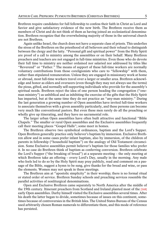Brethren require candidates for full fellowship to confess their faith in Christ as Lord and Savior and give satisfactory evidence of the new birth. The Brethren receive them as members of Christ and do not think of them as having joined an ecclesiastical denomination. Brethren recognize that the overwhelming majority of those in the universal church are not Brethren.

Again unlike Israel, the church does not have a separate class of priests. This underlies the stress of the Brethren on the priesthood of all believers and their refusal to distinguish between the clergy and the laity. "Personal gift and spiritual power" from the Holy Spirit are proof of a call to ministry among the assemblies or on their behalf. Many Brethren preachers and teachers are not engaged in full-time ministries. Even those who do devote their full time to ministry are neither ordained nor salaried nor addressed by titles like "Reverend" or "Father." The means of support of these full-time workers are normally voluntary contributions from those coreligionists who care to "fellowship" with them, rather than stipulated remuneration. Unless they are engaged in missionary work at home or abroad, most full-time workers travel over a larger or smaller area. Brethren acknowledge and honor as elders and overseers (even though they may not always use the terms) the pious, gifted, and normally self-supporting individuals who provide for the assembly's spiritual needs. Brethren reject the idea of one person heading the congregation ("oneman ministry") as unbiblical and as inhibiting the exercise of the gifts that the Holy Spirit has imparted, but at the same time they do not practice an "any-man ministry." During the last generation a growing number of Open assemblies have invited full-time workers to associate themselves with a given assembly particularly, and these persons can become very much like conventional pastors. But even these men rarely do all the preaching or wholly give up itinerating, and they have no sacramental role.

The larger urban Open assemblies have often built attractive and functional "Bible Chapels." The smaller or rural Open assemblies and the Exclusive assemblies frequently call their meeting places "Gospel Halls"; some meet in homes.

The Brethren observe two symbolical ordinances, baptism and the Lord's Supper. Open Brethren generally practice only believer's baptism by immersion. Exclusive Brethren allow and in some cases prefer infant baptism, also by immersion, of the children of parents in fellowship ("household baptism") on the analogy of Old Testament circumcision. Some Exclusive assemblies permit believer's baptism for those families who prefer it. In no case do Brethren think of baptism as conferring conversion. Brethren celebrate the Lord's Supper ("the breaking of bread") at a separate meeting – the only meeting at which Brethren take an offering – every Lord's Day, usually in the morning. Any male who feels led to do so by the Holy Spirit may pray publicly, read and comment on a passage of the Bible, suggest a hymn to be sung, give thanks for the bread and wine, or pass the elements. Women may not speak in these meetings.

The Brethren aim at "apostolic simplicity" in their worship; there is no formal ritual or stated order of service. Brethren Sunday schools and preaching services resemble the parallel activities of nonliturgical denominations.

Open and Exclusive Brethren came separately to North America after the middle of the 19th century. Itinerant preachers from Scotland and Ireland planted most of the [168] early Open assemblies. Darby himself visited the Exclusive assemblies several times. After his death the latter began to divide, sometimes because of issues on this continent, sometimes because of controversies in the British Isles. The United States Bureau of the Census used arbitrarily chosen Roman numerals to differentiate them, and this mode of reference has persisted.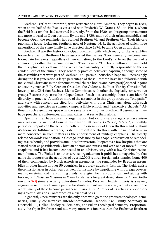Brethren I ("Grant Brethren") were restricted to North America. They began in 1884, when about half of the Exclusives sided with Frederick W. Grant (1834 to 1901), whom the British assemblies had censured indirectly. From the 1920s on this group moved more and more toward an Open position. By the mid-1930s many of their urban assemblies had become Open; the remainder had formed Brethren VII and Brethren VIII. Their historic publishing house, Loizeaux Brothers, now of Neptune, N. J., the activities of which three generations of the same family have directed since 1876, became Open at this time.

Brethren II are the historically Open Brethren, with which many of the assemblies formerly a part of Brethren I have associated themselves. They generally welcome any born-again believers, regardless of denomination, to the Lord's table on the basis of a common *life* rather than a common *light*. They have no "Circles of Fellowship" and hold that discipline is a local matter for which each assembly is directly responsible to the ascended Lord of the church. They generally practice believer's baptism, although some of the assemblies that were part of Brethren I still permit "household baptism." Increasingly during the last generation a large percentage of these Brethren have had fellowship with individual Christians in the denominational church bodies and have part[i]cipated in joint endeavors, such as Billy Graham Crusades, the Gideons, the Inter-Varsity Christian Fellowship, and Christian Business Men's Committees with other theologically conservative groups. Because they stress the independence of each local assembly, there is considerable diversity in practice. A tenth or more of the assemblies in this group stress the "old paths" and view with concern the cited joint activities with other Christians, along with such activities and agencies as summer camps, a Bible school, and "expensive chapels." Although such assemblies appear in the same lists with other Brethren II assemblies, they have preachers, conferences, and magazines that serve them alone.

Open Brethren have no central organization, but various service agencies have arisen on a regional or national basis in response to felt needs. *Letters of Interest*, a monthly periodical, reports on the activities both of the assemblies of Open Brethren and of about 450 domestic full-time workers; its staff represents the Brethren with the national government concerned in such matters as the endorsement of military chaplains. The closely related Stewards Foundation in Chicago lends money for chapel construction or remodeling, issues bonds, and provides annuities for investors. It operates a few hospitals that are staffed as far as possible with Christian doctors and nurses and with one or more full-time chaplains, and it has become connected in an advisory way with a few Christian retirement homes. The Fields is another service organization; it publishes a magazine by that name that reports on the activities of over 1,200 Brethren foreign missionaries (some 400 of them commended by North American assemblies, the remainder by Brethren assemblies in other lands) in over 50 countries. In a purely advisory fashion, The Fields assists these missionaries in other ways as well, for instance by negotiating with foreign governments, receiving and transmitting funds, arranging for transportation, and aiding with furloughs. "Christian Missions in Many Lands" is a frequent designation for Open Brethren mis- [169] sionary activity. Literature Crusades, Prospect Heights, Illinois, is a newer, aggressive recruiter of young people for short-term urban missionary activity around the world; many of these become permanent missionaries. Another of its activities is sponsoring a World Missions Conference on a triennial basis.

In general, Open ministers are the only ones who go to the graduate theological seminaries, usually conservative interdenominational schools like Trinity Seminary in Deerfield, Ill., Dallas Theological Seminary, and Fuller Theological Seminary. Proportionately the Open Brethren send out many more missionaries than the Exclusive Brethren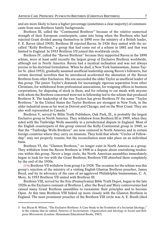and are more likely to have a higher percentage (sometimes a clear majority) of communicants from non-Brethren family backgrounds.

Brethren III, called the "Continental Brethren" because of the relative numerical strength of their European counterparts, came into being when the Brethren who had rejected Grant divided among themselves in 1890 over the ministry of a British leader, F. E. Raven (died 1905). Brethren III rejected Raven. In 1926 they united with the socalled "Kelly Brethren," a group that had come out of a schism in 1881 and that was limited to England. In 1953 Brethren VII joined this worldwide circle.

Brethren IV, called the "Raven Brethren" because they supported Raven in the 1890 schism, were at least until recently the largest group of Exclusive Brethren worldwide, although not in North America. Raven had a mystical inclination and was not always precise in his doctrinal formulation. When he died, a New York businessman, James Taylor Sr. (died 1953), gradually assumed unofficial leadership among Raven's followers, but certain doctrinal novelties that he introduced accelerated the alienation of the Raven Brethren from other Exclusives. His son succeeded the elder Taylor as unofficial leader of this group. The junior Taylor's demands for increasingly rigorous separation from other Christians, for withdrawal from professional associations, for resigning offices in business corporations, for disposing of stock in them, and for refusing to eat meals with anyone with whom the Brethren concerned were not in fellowship led to the schism that produced Brethren X. The leadership of the two Taylors has given Brethren IV the name "Taylor Brethren." In the United States the Taylor Brethren are strongest in New York, in the older industrial areas as far west as Detroit and Chicago, and on the West Coast. They are also well represented in Canada.<sup>3</sup>

Brethren V, served by Bible Truth Publishers, Oak Park, Ill., is probably the largest Exclusive group in North America. They withdrew from Brethren III in 1909, when they sided with the Tunbridge Wells assembly in a jurisdictional dispute in England. Most of the English counterparts of this group entered the Kelly-Continental group in 1940, so that the "Tunbridge Wells Brethren" are now centered in North America and in certain foreign countries where they carry on missions. They hold that whole "Circles of Fellowship" may not properly reunite, but the reconciliation must take place on an individual basis.

Brethren VI, the "Glanton Brethren," no longer exist in North America as a group. They withdrew from the Raven Brethren in 1908 in a dispute about centralizing tendencies within this group. Never a large circle, the North American assemblies immediately began to look for ties with the Grant Brethren; Brethren VIII absorbed them completely by the end of the 1930s.

[170] Brethren VII withdrew from group I in 1928. The occasion for the schism was this group's rejection of the ministry of a visiting English Glanton Brethren preacher, James Boyd, and by its advocacy of the case of an aggrieved Philadelphia businessman, C. A. Mory. In 1953 Brethren VII united with Brethren III.

Brethren VIII, served by the Erie (Pennsylvania) Bible Truth Depot, began in the late 1920s as the Exclusive remnant of Brethren I, after the Boyd and Mory controversies had caused many Grant Brethren assemblies to reexamine their principles and to become Open. At this time Brethren VIII linked up more closely with the Glanton Brethren in England. The most prominent preacher of the Brethren VIII circle was A. E. Booth (died

<sup>3</sup> See Bryan R. Wilson, "The Exclusive Brethren: A Case Study in the Evolution of a Sectarian Ideology," in the volume that he edited, *Patterns of Sectarianism: Organization and Ideology in Social and Religious Movements* (London: Heinemann Educational Books, 1967).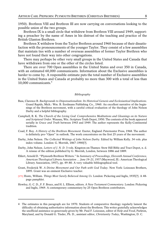1950). Brethren VIII and Brethren III are now carrying on conversations looking to the possible union of the two groups.

Brethren IX is a small circle that withdrew from Brethren VIII around 1949, supporting a preacher by the name of Ames in his distrust of the teaching and practice of the British Glanton Brethren.

Brethren X withdrew from the Taylor Brethren around 1960 because of their dissatisfaction with the pronouncements of the younger Taylor. They consist of a few assemblies that maintain ties with a number of overseas assemblies of former Taylor Brethren who have not found their way into other congregations.

There may perhaps be other very small groups in the United States and Canada that have withdrawn from one or the other of the circles listed.

There are over 700 Open assemblies in the United States and over 350 in Canada, with an estimated 60,000 communicants. Information about the Exclusive assemblies is harder to come by. A responsible estimate puts the total number of Exclusive assemblies in the United States and Canada at probably no more than 300 with a total of less than 10,000 communicants.<sup>4</sup>

## *Bibliography*

- Bass, Clarence B. *Backgrounds to Dispensationalism: Its Historical Genesis and Ecclesiastical Implications.* Grand Rapids, Mich.: Wm. B. Eerdmans Publishing Co., 1960. An excellent narrative of the beginnings of the Brethren movement, with a careful critical evaluation of the theology of John Nelson Darby and a helpful bibliography.
- Campbell, R. K. *The Church of the Living God: Comprehensive Meditations and Gleanings on its Nature and Scriptural Order.* Wausau, Wis.: Scripture Truth Depot, 1950. The contents of the book appeared serially in *Grace and Truth* between 1943 and 1949. The author represents the Kelly-Continental tradition.
- Coad, F. Roy. *A History of the Brethren Movement.* Exeter, England: Paternoster Press, 1968. The author is definitely pro-"Open" in outlook. The work concentrates on the first 25 years of the movement.
- Darby, John Nelson. *The Collected Writings of John Nelson Darby.* Edited by William Kelly. 34 vols. plus index volume. London: G. Morrish, 1867–1900[?].
- Darby, John Nelson. *Letters of J. N. D.* 3 vols. Kingston-on-Thames: Stow Hill Bible and Tract Depot, n. d. A reissue of the edition published by G. Morrish, London, between 1886 and 1889.
- Ehlert, Arnold D. "Plymouth Brethren Writers." In *Summary of Proceedings, Eleventh Annual Conference, American Theological Library Association … June 19–21, 1957* (Maywood, Ill.: American Theological Library Association, 1957), pp. 49–80. A very valuable bibliographical tool.
- Grant, Frederick W. *A Divine Movement and Our Path with God Today.* New York: Loizeaux Brothers, 1895. Grant was an eminent Exclusive teacher.
- [171] Hoste, William. *Things Most Surely Believed Among Us.* London: Pickering and Inglis, 1935[?]. A 48 page pamphlet.
- Howley, G. C. D., F. F. Bruce, and H. L. Ellison, editors. *A New Testament Commentary.* London: Pickering and Inglis, 1969. A contemporary commentary by 25 Open Brethren contributors.

<sup>4</sup> The estimates in this paragraph are for 1970. Students of comparative theology regularly lament the difficulty of obtaining authoritative information about the Brethren. This writer gratefully acknowledges the unofficial assistance so generously given by Mr. Paul F. Loizeaux, editor of *Help and Food*, Parkton, Maryland, and by Donald G. Tinder, Ph. D., assistant editor, *Christianity Today*, Washington, D. C.